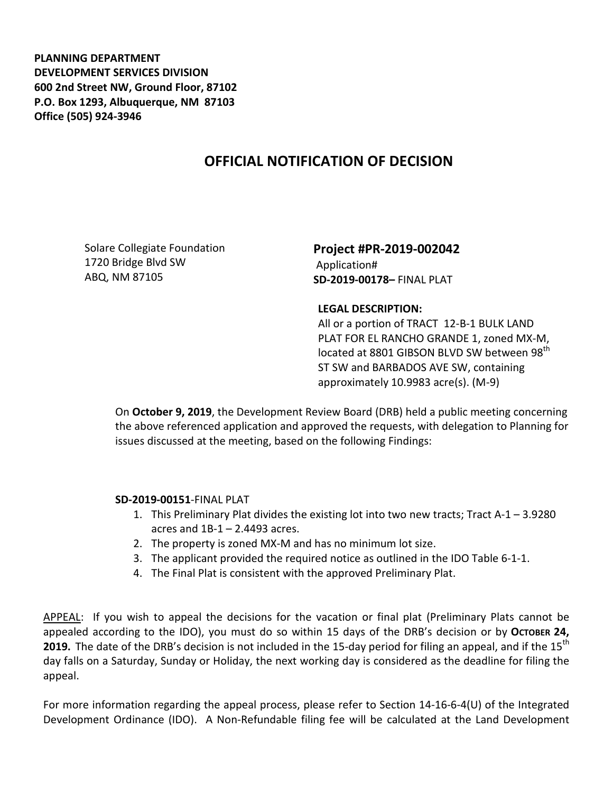**PLANNING DEPARTMENT DEVELOPMENT SERVICES DIVISION 600 2nd Street NW, Ground Floor, 87102 P.O. Box 1293, Albuquerque, NM 87103 Office (505) 924-3946** 

## **OFFICIAL NOTIFICATION OF DECISION**

Solare Collegiate Foundation 1720 Bridge Blvd SW ABQ, NM 87105

**Project #PR-2019-002042** Application# **SD-2019-00178–** FINAL PLAT

## **LEGAL DESCRIPTION:**

All or a portion of TRACT 12-B-1 BULK LAND PLAT FOR EL RANCHO GRANDE 1, zoned MX-M, located at 8801 GIBSON BLVD SW between 98<sup>th</sup> ST SW and BARBADOS AVE SW, containing approximately 10.9983 acre(s). (M-9)

On **October 9, 2019**, the Development Review Board (DRB) held a public meeting concerning the above referenced application and approved the requests, with delegation to Planning for issues discussed at the meeting, based on the following Findings:

## **SD-2019-00151**-FINAL PLAT

- 1. This Preliminary Plat divides the existing lot into two new tracts; Tract A-1 3.9280 acres and 1B-1 – 2.4493 acres.
- 2. The property is zoned MX-M and has no minimum lot size.
- 3. The applicant provided the required notice as outlined in the IDO Table 6-1-1.
- 4. The Final Plat is consistent with the approved Preliminary Plat.

APPEAL: If you wish to appeal the decisions for the vacation or final plat (Preliminary Plats cannot be appealed according to the IDO), you must do so within 15 days of the DRB's decision or by OCTOBER 24, **2019.** The date of the DRB's decision is not included in the 15-day period for filing an appeal, and if the 15<sup>th</sup> day falls on a Saturday, Sunday or Holiday, the next working day is considered as the deadline for filing the appeal.

For more information regarding the appeal process, please refer to Section 14-16-6-4(U) of the Integrated Development Ordinance (IDO). A Non-Refundable filing fee will be calculated at the Land Development